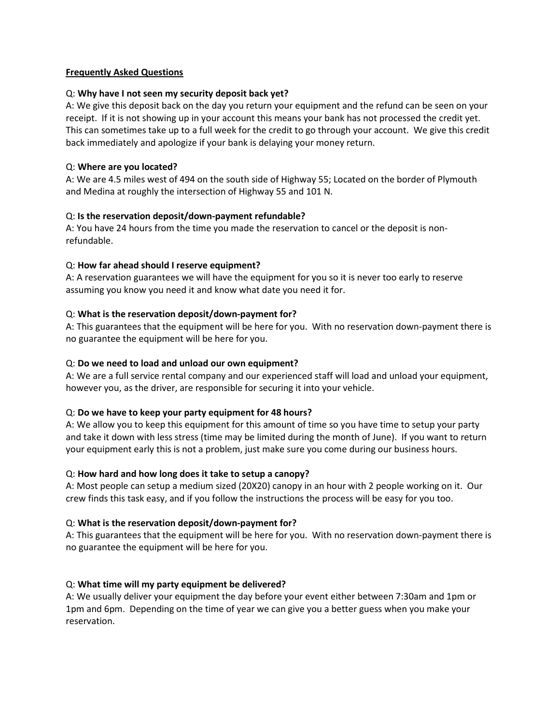## **Frequently Asked Questions**

# Q: **Why have I not seen my security deposit back yet?**

A: We give this deposit back on the day you return your equipment and the refund can be seen on your receipt. If it is not showing up in your account this means your bank has not processed the credit yet. This can sometimes take up to a full week for the credit to go through your account. We give this credit back immediately and apologize if your bank is delaying your money return.

## Q: **Where are you located?**

A: We are 4.5 miles west of 494 on the south side of Highway 55; Located on the border of Plymouth and Medina at roughly the intersection of Highway 55 and 101 N.

# Q: **Is the reservation deposit/down-payment refundable?**

A: You have 24 hours from the time you made the reservation to cancel or the deposit is nonrefundable.

# Q: **How far ahead should I reserve equipment?**

A: A reservation guarantees we will have the equipment for you so it is never too early to reserve assuming you know you need it and know what date you need it for.

# Q: **What is the reservation deposit/down-payment for?**

A: This guarantees that the equipment will be here for you. With no reservation down-payment there is no guarantee the equipment will be here for you.

## Q: **Do we need to load and unload our own equipment?**

A: We are a full service rental company and our experienced staff will load and unload your equipment, however you, as the driver, are responsible for securing it into your vehicle.

# Q: **Do we have to keep your party equipment for 48 hours?**

A: We allow you to keep this equipment for this amount of time so you have time to setup your party and take it down with less stress (time may be limited during the month of June). If you want to return your equipment early this is not a problem, just make sure you come during our business hours.

### Q: **How hard and how long does it take to setup a canopy?**

A: Most people can setup a medium sized (20X20) canopy in an hour with 2 people working on it. Our crew finds this task easy, and if you follow the instructions the process will be easy for you too.

### Q: **What is the reservation deposit/down-payment for?**

A: This guarantees that the equipment will be here for you. With no reservation down-payment there is no guarantee the equipment will be here for you.

### Q: **What time will my party equipment be delivered?**

A: We usually deliver your equipment the day before your event either between 7:30am and 1pm or 1pm and 6pm. Depending on the time of year we can give you a better guess when you make your reservation.